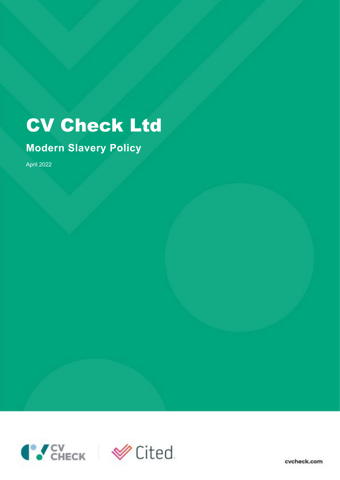# CV Check Ltd

# **Modern Slavery Policy**

April 2022



cycheck.com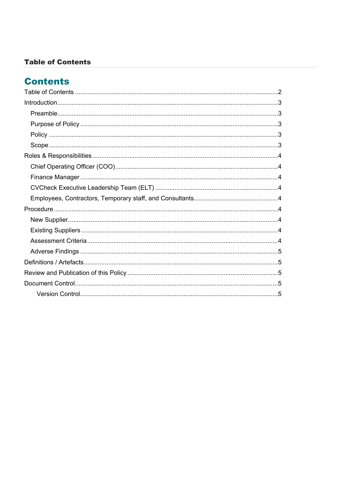#### <span id="page-1-0"></span>**Table of Contents**

## **Contents**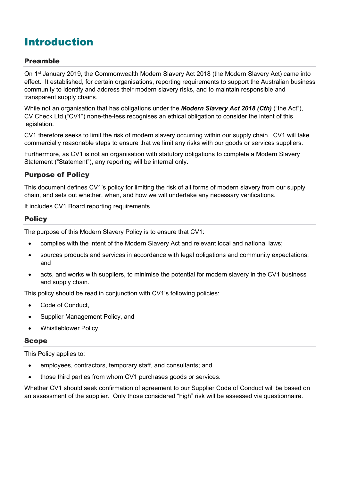# <span id="page-2-0"></span>Introduction

#### <span id="page-2-1"></span>Preamble

On 1st January 2019, the Commonwealth Modern Slavery Act 2018 (the Modern Slavery Act) came into effect. It established, for certain organisations, reporting requirements to support the Australian business community to identify and address their modern slavery risks, and to maintain responsible and transparent supply chains.

While not an organisation that has obligations under the *Modern Slavery Act 2018 (Cth)* ("the Act"), CV Check Ltd ("CV1") none-the-less recognises an ethical obligation to consider the intent of this legislation.

CV1 therefore seeks to limit the risk of modern slavery occurring within our supply chain. CV1 will take commercially reasonable steps to ensure that we limit any risks with our goods or services suppliers.

Furthermore, as CV1 is not an organisation with statutory obligations to complete a Modern Slavery Statement ("Statement"), any reporting will be internal only.

#### <span id="page-2-2"></span>Purpose of Policy

This document defines CV1's policy for limiting the risk of all forms of modern slavery from our supply chain, and sets out whether, when, and how we will undertake any necessary verifications.

It includes CV1 Board reporting requirements.

#### <span id="page-2-3"></span>**Policy**

The purpose of this Modern Slavery Policy is to ensure that CV1:

- complies with the intent of the Modern Slavery Act and relevant local and national laws;
- sources products and services in accordance with legal obligations and community expectations; and
- acts, and works with suppliers, to minimise the potential for modern slavery in the CV1 business and supply chain.

This policy should be read in conjunction with CV1's following policies:

- Code of Conduct.
- Supplier Management Policy, and
- Whistleblower Policy.

#### <span id="page-2-4"></span>**Scope**

This Policy applies to:

- employees, contractors, temporary staff, and consultants; and
- those third parties from whom CV1 purchases goods or services.

Whether CV1 should seek confirmation of agreement to our Supplier Code of Conduct will be based on an assessment of the supplier. Only those considered "high" risk will be assessed via questionnaire.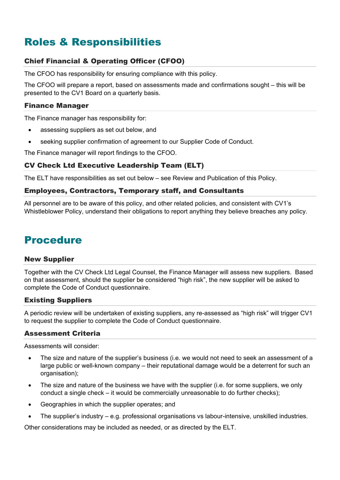# <span id="page-3-0"></span>Roles & Responsibilities

#### <span id="page-3-1"></span>Chief Financial & Operating Officer (CFOO)

The CFOO has responsibility for ensuring compliance with this policy.

The CFOO will prepare a report, based on assessments made and confirmations sought – this will be presented to the CV1 Board on a quarterly basis.

#### <span id="page-3-2"></span>Finance Manager

The Finance manager has responsibility for:

- assessing suppliers as set out below, and
- seeking supplier confirmation of agreement to our Supplier Code of Conduct.

The Finance manager will report findings to the CFOO.

#### <span id="page-3-3"></span>CV Check Ltd Executive Leadership Team (ELT)

The ELT have responsibilities as set out below – see Review and Publication of this Policy.

#### <span id="page-3-4"></span>Employees, Contractors, Temporary staff, and Consultants

All personnel are to be aware of this policy, and other related policies, and consistent with CV1's Whistleblower Policy, understand their obligations to report anything they believe breaches any policy.

### <span id="page-3-5"></span>Procedure

#### <span id="page-3-6"></span>New Supplier

Together with the CV Check Ltd Legal Counsel, the Finance Manager will assess new suppliers. Based on that assessment, should the supplier be considered "high risk", the new supplier will be asked to complete the Code of Conduct questionnaire.

#### <span id="page-3-7"></span>Existing Suppliers

A periodic review will be undertaken of existing suppliers, any re-assessed as "high risk" will trigger CV1 to request the supplier to complete the Code of Conduct questionnaire.

#### <span id="page-3-8"></span>Assessment Criteria

Assessments will consider:

- The size and nature of the supplier's business (i.e. we would not need to seek an assessment of a large public or well-known company – their reputational damage would be a deterrent for such an organisation);
- The size and nature of the business we have with the supplier (i.e. for some suppliers, we only conduct a single check – it would be commercially unreasonable to do further checks);
- Geographies in which the supplier operates; and
- The supplier's industry e.g. professional organisations vs labour-intensive, unskilled industries.

Other considerations may be included as needed, or as directed by the ELT.